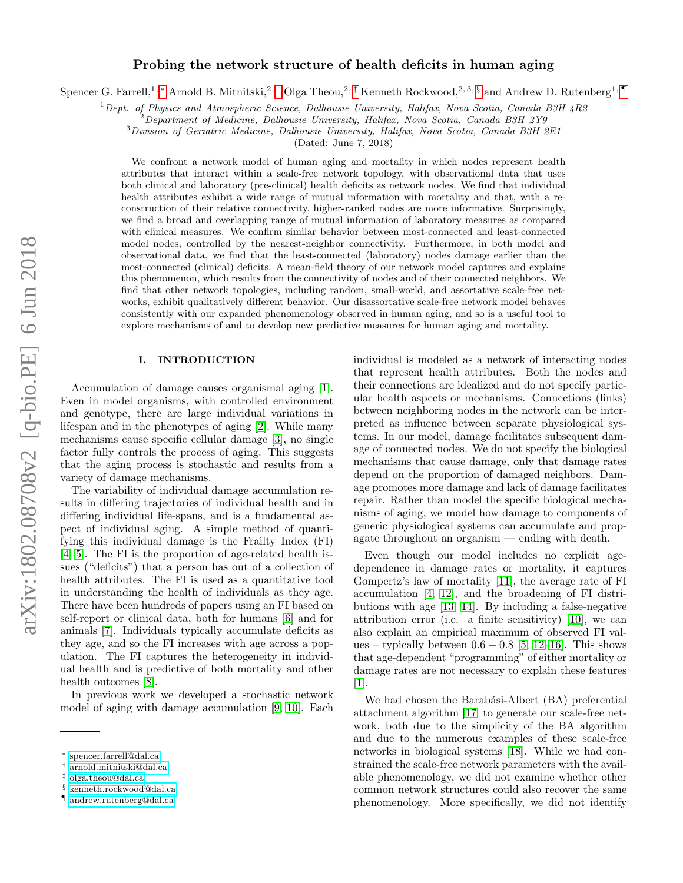# Probing the network structure of health deficits in human aging

Spencer G. Farrell,<sup>1, \*</sup> Arnold B. Mitnitski,<sup>2,[†](#page-0-1)</sup> Olga Theou,<sup>2,[‡](#page-0-2)</sup> Kenneth Rockwood,<sup>2,3, [§](#page-0-3)</sup> and Andrew D. Rutenberg<sup>1,</sup>

 $1$  Dept. of Physics and Atmospheric Science, Dalhousie University, Halifax, Nova Scotia, Canada B3H 4R2

<sup>3</sup>Division of Geriatric Medicine, Dalhousie University, Halifax, Nova Scotia, Canada B3H 2E1

(Dated: June 7, 2018)

We confront a network model of human aging and mortality in which nodes represent health attributes that interact within a scale-free network topology, with observational data that uses both clinical and laboratory (pre-clinical) health deficits as network nodes. We find that individual health attributes exhibit a wide range of mutual information with mortality and that, with a reconstruction of their relative connectivity, higher-ranked nodes are more informative. Surprisingly, we find a broad and overlapping range of mutual information of laboratory measures as compared with clinical measures. We confirm similar behavior between most-connected and least-connected model nodes, controlled by the nearest-neighbor connectivity. Furthermore, in both model and observational data, we find that the least-connected (laboratory) nodes damage earlier than the most-connected (clinical) deficits. A mean-field theory of our network model captures and explains this phenomenon, which results from the connectivity of nodes and of their connected neighbors. We find that other network topologies, including random, small-world, and assortative scale-free networks, exhibit qualitatively different behavior. Our disassortative scale-free network model behaves consistently with our expanded phenomenology observed in human aging, and so is a useful tool to explore mechanisms of and to develop new predictive measures for human aging and mortality.

### I. INTRODUCTION

Accumulation of damage causes organismal aging [\[1\]](#page-14-0). Even in model organisms, with controlled environment and genotype, there are large individual variations in lifespan and in the phenotypes of aging [\[2\]](#page-14-1). While many mechanisms cause specific cellular damage [\[3\]](#page-14-2), no single factor fully controls the process of aging. This suggests that the aging process is stochastic and results from a variety of damage mechanisms.

The variability of individual damage accumulation results in differing trajectories of individual health and in differing individual life-spans, and is a fundamental aspect of individual aging. A simple method of quantifying this individual damage is the Frailty Index (FI) [\[4,](#page-14-3) [5\]](#page-14-4). The FI is the proportion of age-related health issues ("deficits") that a person has out of a collection of health attributes. The FI is used as a quantitative tool in understanding the health of individuals as they age. There have been hundreds of papers using an FI based on self-report or clinical data, both for humans [\[6\]](#page-14-5) and for animals [\[7\]](#page-14-6). Individuals typically accumulate deficits as they age, and so the FI increases with age across a population. The FI captures the heterogeneity in individual health and is predictive of both mortality and other health outcomes [\[8\]](#page-14-7).

In previous work we developed a stochastic network model of aging with damage accumulation [\[9,](#page-14-8) [10\]](#page-14-9). Each individual is modeled as a network of interacting nodes that represent health attributes. Both the nodes and their connections are idealized and do not specify particular health aspects or mechanisms. Connections (links) between neighboring nodes in the network can be interpreted as influence between separate physiological systems. In our model, damage facilitates subsequent damage of connected nodes. We do not specify the biological mechanisms that cause damage, only that damage rates depend on the proportion of damaged neighbors. Damage promotes more damage and lack of damage facilitates repair. Rather than model the specific biological mechanisms of aging, we model how damage to components of generic physiological systems can accumulate and propagate throughout an organism — ending with death.

Even though our model includes no explicit agedependence in damage rates or mortality, it captures Gompertz's law of mortality [\[11\]](#page-14-10), the average rate of FI accumulation [\[4,](#page-14-3) [12\]](#page-14-11), and the broadening of FI distributions with age [\[13,](#page-14-12) [14\]](#page-14-13). By including a false-negative attribution error (i.e. a finite sensitivity) [\[10\]](#page-14-9), we can also explain an empirical maximum of observed FI values – typically between  $0.6 - 0.8$  [\[5,](#page-14-4) [12](#page-14-11)[–16\]](#page-14-14). This shows that age-dependent "programming" of either mortality or damage rates are not necessary to explain these features [\[1\]](#page-14-0).

We had chosen the Barabási-Albert (BA) preferential attachment algorithm [\[17\]](#page-14-15) to generate our scale-free network, both due to the simplicity of the BA algorithm and due to the numerous examples of these scale-free networks in biological systems [\[18\]](#page-14-16). While we had constrained the scale-free network parameters with the available phenomenology, we did not examine whether other common network structures could also recover the same phenomenology. More specifically, we did not identify

 $^{2}$ Department of Medicine, Dalhousie University, Halifax, Nova Scotia, Canada B3H 2Y9

<span id="page-0-0"></span><sup>∗</sup> [spencer.farrell@dal.ca](mailto:spencer.farrell@dal.ca)

<span id="page-0-1"></span><sup>†</sup> [arnold.mitnitski@dal.ca](mailto:arnold.mitnitski@dal.ca)

<span id="page-0-2"></span><sup>‡</sup> [olga.theou@dal.ca](mailto:olga.theou@dal.ca)

<span id="page-0-3"></span><sup>§</sup> [kenneth.rockwood@dal.ca](mailto:kenneth.rockwood@dal.ca)

<span id="page-0-4"></span><sup>¶</sup> [andrew.rutenberg@dal.ca](mailto:andrew.rutenberg@dal.ca)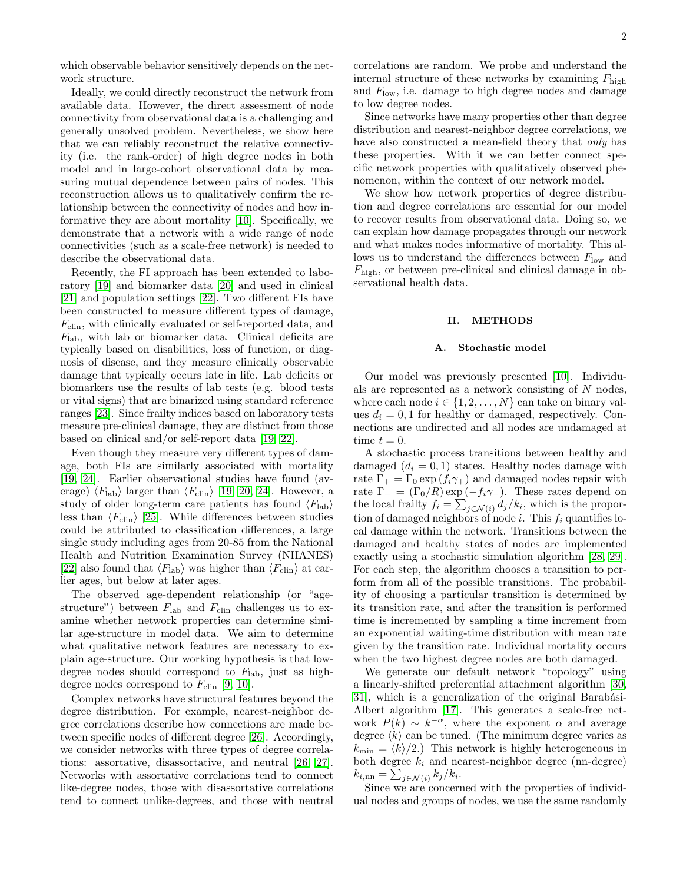Ideally, we could directly reconstruct the network from available data. However, the direct assessment of node connectivity from observational data is a challenging and generally unsolved problem. Nevertheless, we show here that we can reliably reconstruct the relative connectivity (i.e. the rank-order) of high degree nodes in both model and in large-cohort observational data by measuring mutual dependence between pairs of nodes. This reconstruction allows us to qualitatively confirm the relationship between the connectivity of nodes and how informative they are about mortality [\[10\]](#page-14-9). Specifically, we demonstrate that a network with a wide range of node connectivities (such as a scale-free network) is needed to describe the observational data.

Recently, the FI approach has been extended to laboratory [\[19\]](#page-14-17) and biomarker data [\[20\]](#page-14-18) and used in clinical [\[21\]](#page-14-19) and population settings [\[22\]](#page-14-20). Two different FIs have been constructed to measure different types of damage,  $F_{\text{clip}}$ , with clinically evaluated or self-reported data, and  $F_{\rm lab}$ , with lab or biomarker data. Clinical deficits are typically based on disabilities, loss of function, or diagnosis of disease, and they measure clinically observable damage that typically occurs late in life. Lab deficits or biomarkers use the results of lab tests (e.g. blood tests or vital signs) that are binarized using standard reference ranges [\[23\]](#page-14-21). Since frailty indices based on laboratory tests measure pre-clinical damage, they are distinct from those based on clinical and/or self-report data [\[19,](#page-14-17) [22\]](#page-14-20).

Even though they measure very different types of damage, both FIs are similarly associated with mortality [\[19,](#page-14-17) [24\]](#page-14-22). Earlier observational studies have found (average)  $\langle F_{\text{lab}} \rangle$  larger than  $\langle F_{\text{clip}} \rangle$  [\[19,](#page-14-17) [20,](#page-14-18) [24\]](#page-14-22). However, a study of older long-term care patients has found  $\langle F_{\text{lab}} \rangle$ less than  $\langle F_{\text{clip}} \rangle$  [\[25\]](#page-14-23). While differences between studies could be attributed to classification differences, a large single study including ages from 20-85 from the National Health and Nutrition Examination Survey (NHANES) [\[22\]](#page-14-20) also found that  $\langle F_{\text{lab}} \rangle$  was higher than  $\langle F_{\text{clip}} \rangle$  at earlier ages, but below at later ages.

The observed age-dependent relationship (or "agestructure") between  $F_{\text{lab}}$  and  $F_{\text{clip}}$  challenges us to examine whether network properties can determine similar age-structure in model data. We aim to determine what qualitative network features are necessary to explain age-structure. Our working hypothesis is that lowdegree nodes should correspond to  $F_{\text{lab}}$ , just as highdegree nodes correspond to  $F_{\text{clip}}$  [\[9,](#page-14-8) [10\]](#page-14-9).

Complex networks have structural features beyond the degree distribution. For example, nearest-neighbor degree correlations describe how connections are made between specific nodes of different degree [\[26\]](#page-14-24). Accordingly, we consider networks with three types of degree correlations: assortative, disassortative, and neutral [\[26,](#page-14-24) [27\]](#page-14-25). Networks with assortative correlations tend to connect like-degree nodes, those with disassortative correlations tend to connect unlike-degrees, and those with neutral correlations are random. We probe and understand the internal structure of these networks by examining  $F_{\text{high}}$ and  $F_{\text{low}}$ , i.e. damage to high degree nodes and damage to low degree nodes.

Since networks have many properties other than degree distribution and nearest-neighbor degree correlations, we have also constructed a mean-field theory that *only* has these properties. With it we can better connect specific network properties with qualitatively observed phenomenon, within the context of our network model.

We show how network properties of degree distribution and degree correlations are essential for our model to recover results from observational data. Doing so, we can explain how damage propagates through our network and what makes nodes informative of mortality. This allows us to understand the differences between  $F_{\text{low}}$  and  $F_{\text{high}}$ , or between pre-clinical and clinical damage in observational health data.

### II. METHODS

### A. Stochastic model

Our model was previously presented [\[10\]](#page-14-9). Individuals are represented as a network consisting of N nodes, where each node  $i \in \{1, 2, ..., N\}$  can take on binary values  $d_i = 0, 1$  for healthy or damaged, respectively. Connections are undirected and all nodes are undamaged at time  $t = 0$ .

A stochastic process transitions between healthy and damaged  $(d_i = 0, 1)$  states. Healthy nodes damage with rate  $\Gamma_+ = \Gamma_0 \exp(f_i \gamma_+)$  and damaged nodes repair with rate  $\Gamma_{-} = (\Gamma_0/R) \exp(-f_i \gamma_{-})$ . These rates depend on the local frailty  $f_i = \sum_{j \in \mathcal{N}(i)} d_j / k_i$ , which is the proportion of damaged neighbors of node i. This  $f_i$  quantifies local damage within the network. Transitions between the damaged and healthy states of nodes are implemented exactly using a stochastic simulation algorithm [\[28,](#page-14-26) [29\]](#page-14-27). For each step, the algorithm chooses a transition to perform from all of the possible transitions. The probability of choosing a particular transition is determined by its transition rate, and after the transition is performed time is incremented by sampling a time increment from an exponential waiting-time distribution with mean rate given by the transition rate. Individual mortality occurs when the two highest degree nodes are both damaged.

We generate our default network "topology" using a linearly-shifted preferential attachment algorithm [\[30,](#page-14-28) 31, which is a generalization of the original Barabási-Albert algorithm [\[17\]](#page-14-15). This generates a scale-free network  $P(k) \sim k^{-\alpha}$ , where the exponent  $\alpha$  and average degree  $\langle k \rangle$  can be tuned. (The minimum degree varies as  $k_{\text{min}} = \langle k \rangle/2.$ ) This network is highly heterogeneous in both degree  $k_i$  and nearest-neighbor degree (nn-degree)  $k_{i, \text{nn}} = \sum_{j \in \mathcal{N}(i)} k_j / k_i.$ 

Since we are concerned with the properties of individual nodes and groups of nodes, we use the same randomly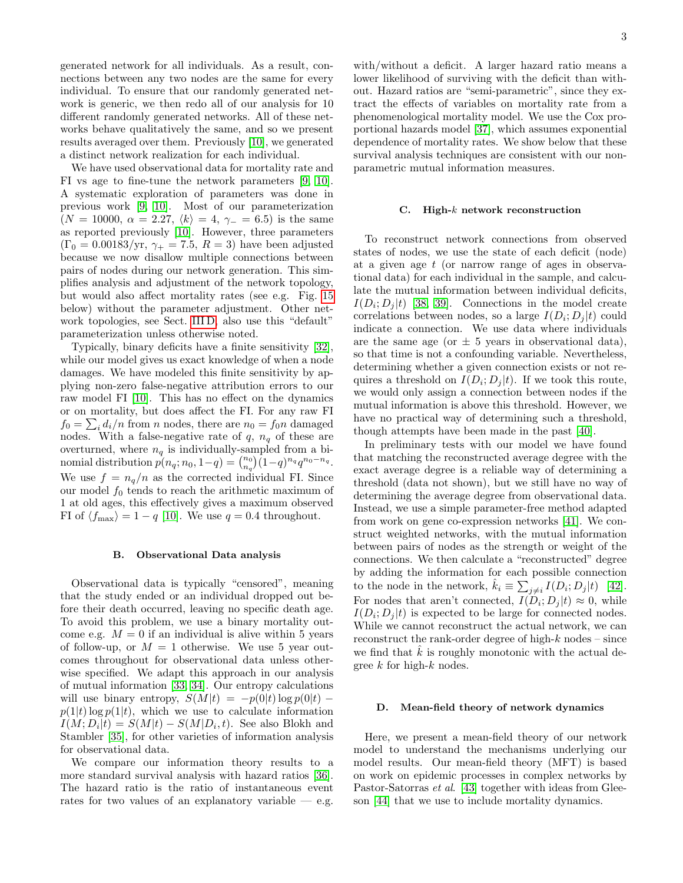generated network for all individuals. As a result, connections between any two nodes are the same for every individual. To ensure that our randomly generated network is generic, we then redo all of our analysis for 10 different randomly generated networks. All of these networks behave qualitatively the same, and so we present results averaged over them. Previously [\[10\]](#page-14-9), we generated a distinct network realization for each individual.

We have used observational data for mortality rate and FI vs age to fine-tune the network parameters [\[9,](#page-14-8) [10\]](#page-14-9). A systematic exploration of parameters was done in previous work [\[9,](#page-14-8) [10\]](#page-14-9). Most of our parameterization  $(N = 10000, \alpha = 2.27, \langle k \rangle = 4, \gamma = 6.5)$  is the same as reported previously [\[10\]](#page-14-9). However, three parameters  $(\Gamma_0 = 0.00183/\text{yr}, \gamma_+ = 7.5, R = 3)$  have been adjusted because we now disallow multiple connections between pairs of nodes during our network generation. This simplifies analysis and adjustment of the network topology, but would also affect mortality rates (see e.g. Fig. [15](#page-11-0) below) without the parameter adjustment. Other network topologies, see Sect. [III D,](#page-9-0) also use this "default" parameterization unless otherwise noted.

Typically, binary deficits have a finite sensitivity [\[32\]](#page-15-1), while our model gives us exact knowledge of when a node damages. We have modeled this finite sensitivity by applying non-zero false-negative attribution errors to our raw model FI [\[10\]](#page-14-9). This has no effect on the dynamics or on mortality, but does affect the FI. For any raw FI  $f_0 = \sum_i d_i/n$  from *n* nodes, there are  $n_0 = f_0 n$  damaged nodes. With a false-negative rate of  $q, n_q$  of these are overturned, where  $n_q$  is individually-sampled from a binomial distribution  $p(n_q; n_0, 1-q) = {n_0 \choose n_q} (1-q)^{n_q} q^{n_0-n_q}$ . We use  $f = n_q/n$  as the corrected individual FI. Since our model  $f_0$  tends to reach the arithmetic maximum of 1 at old ages, this effectively gives a maximum observed FI of  $\langle f_{\text{max}} \rangle = 1 - q$  [\[10\]](#page-14-9). We use  $q = 0.4$  throughout.

#### B. Observational Data analysis

Observational data is typically "censored", meaning that the study ended or an individual dropped out before their death occurred, leaving no specific death age. To avoid this problem, we use a binary mortality outcome e.g.  $M = 0$  if an individual is alive within 5 years of follow-up, or  $M = 1$  otherwise. We use 5 year outcomes throughout for observational data unless otherwise specified. We adapt this approach in our analysis of mutual information [\[33,](#page-15-2) [34\]](#page-15-3). Our entropy calculations will use binary entropy,  $S(M|t) = -p(0|t) \log p(0|t)$  –  $p(1|t) \log p(1|t)$ , which we use to calculate information  $I(M; D_i|t) = S(M|t) - S(M|D_i, t)$ . See also Blokh and Stambler [\[35\]](#page-15-4), for other varieties of information analysis for observational data.

We compare our information theory results to a more standard survival analysis with hazard ratios [\[36\]](#page-15-5). The hazard ratio is the ratio of instantaneous event rates for two values of an explanatory variable  $-$  e.g.

with/without a deficit. A larger hazard ratio means a lower likelihood of surviving with the deficit than without. Hazard ratios are "semi-parametric", since they extract the effects of variables on mortality rate from a phenomenological mortality model. We use the Cox proportional hazards model [\[37\]](#page-15-6), which assumes exponential dependence of mortality rates. We show below that these survival analysis techniques are consistent with our nonparametric mutual information measures.

#### <span id="page-2-0"></span>C. High- $k$  network reconstruction

To reconstruct network connections from observed states of nodes, we use the state of each deficit (node) at a given age t (or narrow range of ages in observational data) for each individual in the sample, and calculate the mutual information between individual deficits,  $I(D_i; D_j | t)$  [\[38,](#page-15-7) [39\]](#page-15-8). Connections in the model create correlations between nodes, so a large  $I(D_i; D_j | t)$  could indicate a connection. We use data where individuals are the same age (or  $\pm$  5 years in observational data), so that time is not a confounding variable. Nevertheless, determining whether a given connection exists or not requires a threshold on  $I(D_i; D_j | t)$ . If we took this route, we would only assign a connection between nodes if the mutual information is above this threshold. However, we have no practical way of determining such a threshold, though attempts have been made in the past [\[40\]](#page-15-9).

In preliminary tests with our model we have found that matching the reconstructed average degree with the exact average degree is a reliable way of determining a threshold (data not shown), but we still have no way of determining the average degree from observational data. Instead, we use a simple parameter-free method adapted from work on gene co-expression networks [\[41\]](#page-15-10). We construct weighted networks, with the mutual information between pairs of nodes as the strength or weight of the connections. We then calculate a "reconstructed" degree by adding the information for each possible connection to the node in the network,  $\hat{k}_i \equiv \sum_{j \neq i} I(D_i; D_j | t)$  [\[42\]](#page-15-11). For nodes that aren't connected,  $I(D_i; D_j | t) \approx 0$ , while  $I(D_i; D_j | t)$  is expected to be large for connected nodes. While we cannot reconstruct the actual network, we can reconstruct the rank-order degree of high- $k$  nodes – since we find that  $\hat{k}$  is roughly monotonic with the actual degree  $k$  for high- $k$  nodes.

### <span id="page-2-1"></span>D. Mean-field theory of network dynamics

Here, we present a mean-field theory of our network model to understand the mechanisms underlying our model results. Our mean-field theory (MFT) is based on work on epidemic processes in complex networks by Pastor-Satorras *et al.* [\[43\]](#page-15-12) together with ideas from Gleeson [\[44\]](#page-15-13) that we use to include mortality dynamics.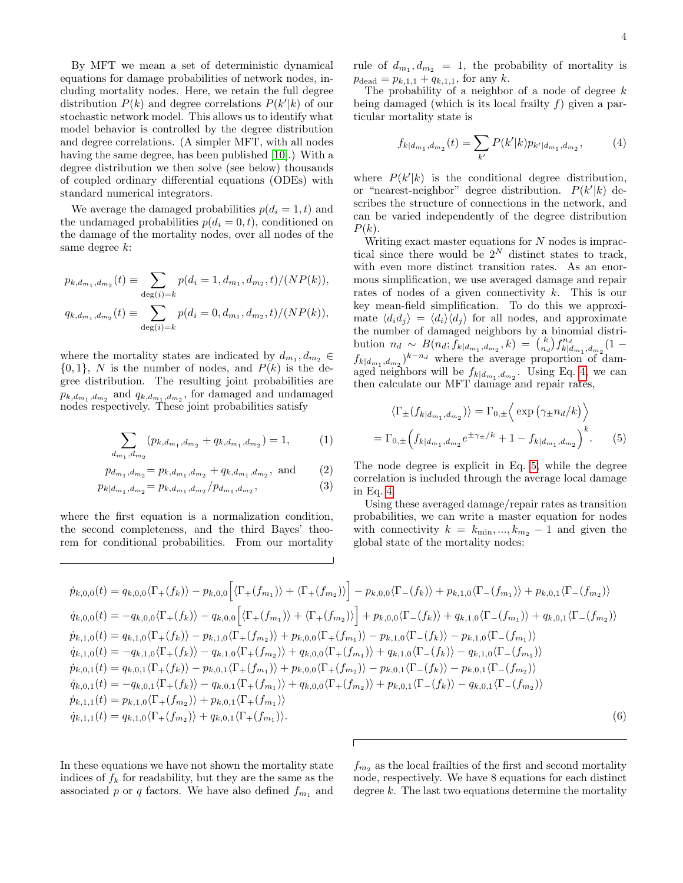By MFT we mean a set of deterministic dynamical equations for damage probabilities of network nodes, including mortality nodes. Here, we retain the full degree distribution  $P(k)$  and degree correlations  $P(k'|k)$  of our stochastic network model. This allows us to identify what model behavior is controlled by the degree distribution and degree correlations. (A simpler MFT, with all nodes having the same degree, has been published [\[10\]](#page-14-9).) With a degree distribution we then solve (see below) thousands of coupled ordinary differential equations (ODEs) with standard numerical integrators.

We average the damaged probabilities  $p(d_i = 1, t)$  and the undamaged probabilities  $p(d_i = 0, t)$ , conditioned on the damage of the mortality nodes, over all nodes of the same degree k:

$$
p_{k,d_{m_1},d_{m_2}}(t) \equiv \sum_{\substack{\deg(i)=k}} p(d_i = 1, d_{m_1}, d_{m_2}, t)/(NP(k)),
$$
  

$$
q_{k,d_{m_1},d_{m_2}}(t) \equiv \sum_{\substack{\deg(i)=k}} p(d_i = 0, d_{m_1}, d_{m_2}, t)/(NP(k)),
$$

where the mortality states are indicated by  $d_{m_1}, d_{m_2} \in$  $\{0,1\}, N$  is the number of nodes, and  $P(k)$  is the degree distribution. The resulting joint probabilities are  $p_{k,d_{m_1},d_{m_2}}$  and  $q_{k,d_{m_1},d_{m_2}}$ , for damaged and undamaged nodes respectively. These joint probabilities satisfy

$$
\sum_{d_{m_1}, d_{m_2}} (p_{k, d_{m_1}, d_{m_2}} + q_{k, d_{m_1}, d_{m_2}}) = 1, \qquad (1)
$$

$$
p_{d_{m_1}, d_{m_2}} = p_{k, d_{m_1}, d_{m_2}} + q_{k, d_{m_1}, d_{m_2}}, \text{ and } (2)
$$

$$
p_{k|d_{m_1}, d_{m_2}} = p_{k, d_{m_1}, d_{m_2}} / p_{d_{m_1}, d_{m_2}},
$$
\n(3)

where the first equation is a normalization condition, the second completeness, and the third Bayes' theorem for conditional probabilities. From our mortality

rule of  $d_{m_1}, d_{m_2} = 1$ , the probability of mortality is  $p_{\text{dead}} = p_{k,1,1} + q_{k,1,1}$ , for any k.

The probability of a neighbor of a node of degree  $k$ being damaged (which is its local frailty  $f$ ) given a particular mortality state is

<span id="page-3-0"></span>
$$
f_{k|d_{m_1}, d_{m_2}}(t) = \sum_{k'} P(k'|k) p_{k'|d_{m_1}, d_{m_2}}, \tag{4}
$$

where  $P(k'|k)$  is the conditional degree distribution, or "nearest-neighbor" degree distribution.  $P(k'|k)$  describes the structure of connections in the network, and can be varied independently of the degree distribution  $P(k)$ .

Writing exact master equations for  $N$  nodes is impractical since there would be  $2^N$  distinct states to track, with even more distinct transition rates. As an enormous simplification, we use averaged damage and repair rates of nodes of a given connectivity  $k$ . This is our key mean-field simplification. To do this we approximate  $\langle d_i d_j \rangle = \langle d_i \rangle \langle d_j \rangle$  for all nodes, and approximate the number of damaged neighbors by a binomial distribution  $n_d \sim B(n_d; \tilde{f}_{k|d_{m_1}, d_{m_2}}, k) = {k \choose n_d} f_{k|d_{m_1}, d_{m_2}}^{n_d} (1$  $f_{k|d_{m_1}, d_{m_2}}$ <sup>k-n<sub>d</sub></sup> where the average proportion of damaged neighbors will be  $f_{k|d_{m_1}, d_{m_2}}$ . Using Eq. [4,](#page-3-0) we can then calculate our MFT damage and repair rates,

<span id="page-3-1"></span>
$$
\langle \Gamma_{\pm}(f_{k|d_{m_1}, d_{m_2}}) \rangle = \Gamma_{0,\pm} \left\langle \exp\left(\gamma_{\pm} n_d/k\right) \right\rangle
$$

$$
= \Gamma_{0,\pm} \left(f_{k|d_{m_1}, d_{m_2}} e^{\pm \gamma_{\pm}/k} + 1 - f_{k|d_{m_1}, d_{m_2}}\right)^k. \tag{5}
$$

The node degree is explicit in Eq. [5,](#page-3-1) while the degree correlation is included through the average local damage in Eq. [4.](#page-3-0)

Using these averaged damage/repair rates as transition probabilities, we can write a master equation for nodes with connectivity  $k = k_{\min}, ..., k_{m_2} - 1$  and given the global state of the mortality nodes:

<span id="page-3-2"></span>
$$
\dot{p}_{k,0,0}(t) = q_{k,0,0}\langle\Gamma_{+}(f_{k})\rangle - p_{k,0,0}\Big[\langle\Gamma_{+}(f_{m_{1}})\rangle + \langle\Gamma_{+}(f_{m_{2}})\rangle\Big] - p_{k,0,0}\langle\Gamma_{-}(f_{k})\rangle + p_{k,1,0}\langle\Gamma_{-}(f_{m_{1}})\rangle + p_{k,0,1}\langle\Gamma_{-}(f_{m_{2}})\rangle
$$
\n
$$
\dot{q}_{k,0,0}(t) = -q_{k,0,0}\langle\Gamma_{+}(f_{k})\rangle - q_{k,0,0}\Big[\langle\Gamma_{+}(f_{m_{1}})\rangle + \langle\Gamma_{+}(f_{m_{2}})\rangle\Big] + p_{k,0,0}\langle\Gamma_{-}(f_{k})\rangle + q_{k,1,0}\langle\Gamma_{-}(f_{m_{1}})\rangle + q_{k,0,1}\langle\Gamma_{-}(f_{m_{2}})\rangle
$$
\n
$$
\dot{p}_{k,1,0}(t) = q_{k,1,0}\langle\Gamma_{+}(f_{k})\rangle - p_{k,1,0}\langle\Gamma_{+}(f_{m_{2}})\rangle + p_{k,0,0}\langle\Gamma_{+}(f_{m_{1}})\rangle - p_{k,1,0}\langle\Gamma_{-}(f_{k})\rangle - p_{k,1,0}\langle\Gamma_{-}(f_{m_{1}})\rangle
$$
\n
$$
\dot{q}_{k,1,0}(t) = -q_{k,1,0}\langle\Gamma_{+}(f_{k})\rangle - q_{k,1,0}\langle\Gamma_{+}(f_{m_{2}})\rangle + q_{k,0,0}\langle\Gamma_{+}(f_{m_{1}})\rangle + q_{k,1,0}\langle\Gamma_{-}(f_{k})\rangle - q_{k,1,0}\langle\Gamma_{-}(f_{m_{1}})\rangle
$$
\n
$$
\dot{p}_{k,0,1}(t) = q_{k,0,1}\langle\Gamma_{+}(f_{k})\rangle - p_{k,0,1}\langle\Gamma_{+}(f_{m_{1}})\rangle + p_{k,0,0}\langle\Gamma_{+}(f_{m_{2}})\rangle - p_{k,0,1}\langle\Gamma_{-}(f_{k})\rangle - p_{k,0,1}\langle\Gamma_{-}(f_{m_{2}})\rangle
$$
\n
$$
\dot{q}_{k,0,1}(t) = -q_{k,0,1}\langle\Gamma_{+}(f_{k})\rangle - q_{k,0,1}\langle\Gamma_{+}(f
$$

In these equations we have not shown the mortality state indices of  $f_k$  for readability, but they are the same as the associated p or q factors. We have also defined  $f_{m_1}$  and

 $f_{m_2}$  as the local frailties of the first and second mortality node, respectively. We have 8 equations for each distinct degree  $k$ . The last two equations determine the mortality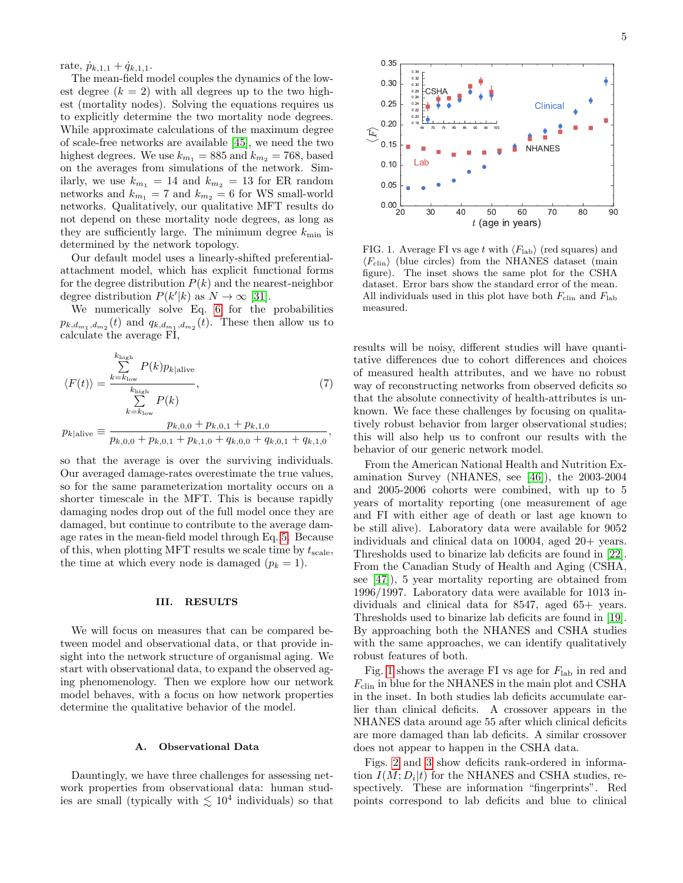rate,  $\dot{p}_{k,1,1} + \dot{q}_{k,1,1}.$ 

The mean-field model couples the dynamics of the lowest degree  $(k = 2)$  with all degrees up to the two highest (mortality nodes). Solving the equations requires us to explicitly determine the two mortality node degrees. While approximate calculations of the maximum degree of scale-free networks are available [\[45\]](#page-15-14), we need the two highest degrees. We use  $k_{m_1} = 885$  and  $k_{m_2} = 768$ , based on the averages from simulations of the network. Similarly, we use  $k_{m_1} = 14$  and  $k_{m_2} = 13$  for ER random networks and  $k_{m_1} = 7$  and  $k_{m_2} = 6$  for WS small-world networks. Qualitatively, our qualitative MFT results do not depend on these mortality node degrees, as long as they are sufficiently large. The minimum degree  $k_{\text{min}}$  is determined by the network topology.

Our default model uses a linearly-shifted preferentialattachment model, which has explicit functional forms for the degree distribution  $P(k)$  and the nearest-neighbor degree distribution  $P(k'|k)$  as  $N \to \infty$  [\[31\]](#page-15-0).

We numerically solve Eq. [6](#page-3-2) for the probabilities  $p_{k,d_{m_1},d_{m_2}}(t)$  and  $q_{k,d_{m_1},d_{m_2}}(t)$ . These then allow us to calculate the average FI,

<span id="page-4-1"></span>
$$
\langle F(t) \rangle = \frac{\sum_{k=k_{\text{low}}}^{k_{\text{high}}} P(k) p_{k|\text{alive}}}{\sum_{k=k_{\text{low}}}^{k_{\text{high}}} P(k)},
$$
\n
$$
p_{k|\text{alive}} \equiv \frac{p_{k,0,0} + p_{k,0,1} + p_{k,1,0}}{p_{k,0,0} + p_{k,0,1} + p_{k,1,0} + q_{k,0,0} + q_{k,0,1} + q_{k,1,0}},
$$
\n(7)

so that the average is over the surviving individuals. Our averaged damage-rates overestimate the true values, so for the same parameterization mortality occurs on a shorter timescale in the MFT. This is because rapidly damaging nodes drop out of the full model once they are damaged, but continue to contribute to the average damage rates in the mean-field model through Eq. [5.](#page-3-1) Because of this, when plotting MFT results we scale time by  $t_{\text{scale}}$ , the time at which every node is damaged  $(p_k = 1)$ .

# III. RESULTS

We will focus on measures that can be compared between model and observational data, or that provide insight into the network structure of organismal aging. We start with observational data, to expand the observed aging phenomenology. Then we explore how our network model behaves, with a focus on how network properties determine the qualitative behavior of the model.

### A. Observational Data

Dauntingly, we have three challenges for assessing network properties from observational data: human studies are small (typically with  $\lesssim 10^4$  individuals) so that



<span id="page-4-0"></span>FIG. 1. Average FI vs age t with  $\langle F_{\rm lab} \rangle$  (red squares) and  $\langle F_{\text{clip}} \rangle$  (blue circles) from the NHANES dataset (main figure). The inset shows the same plot for the CSHA dataset. Error bars show the standard error of the mean. All individuals used in this plot have both  $F_{\text{clip}}$  and  $F_{\text{lab}}$ measured.

results will be noisy, different studies will have quantitative differences due to cohort differences and choices of measured health attributes, and we have no robust way of reconstructing networks from observed deficits so that the absolute connectivity of health-attributes is unknown. We face these challenges by focusing on qualitatively robust behavior from larger observational studies; this will also help us to confront our results with the behavior of our generic network model.

From the American National Health and Nutrition Examination Survey (NHANES, see [\[46\]](#page-15-15)), the 2003-2004 and 2005-2006 cohorts were combined, with up to 5 years of mortality reporting (one measurement of age and FI with either age of death or last age known to be still alive). Laboratory data were available for 9052 individuals and clinical data on 10004, aged 20+ years. Thresholds used to binarize lab deficits are found in [\[22\]](#page-14-20). From the Canadian Study of Health and Aging (CSHA, see [\[47\]](#page-15-16)), 5 year mortality reporting are obtained from 1996/1997. Laboratory data were available for 1013 individuals and clinical data for 8547, aged 65+ years. Thresholds used to binarize lab deficits are found in [\[19\]](#page-14-17). By approaching both the NHANES and CSHA studies with the same approaches, we can identify qualitatively robust features of both.

Fig. [1](#page-4-0) shows the average FI vs age for  $F_{\text{lab}}$  in red and  $F_{\text{clip}}$  in blue for the NHANES in the main plot and CSHA in the inset. In both studies lab deficits accumulate earlier than clinical deficits. A crossover appears in the NHANES data around age 55 after which clinical deficits are more damaged than lab deficits. A similar crossover does not appear to happen in the CSHA data.

Figs. [2](#page-5-0) and [3](#page-5-1) show deficits rank-ordered in information  $I(M; D_i | t)$  for the NHANES and CSHA studies, respectively. These are information "fingerprints". Red points correspond to lab deficits and blue to clinical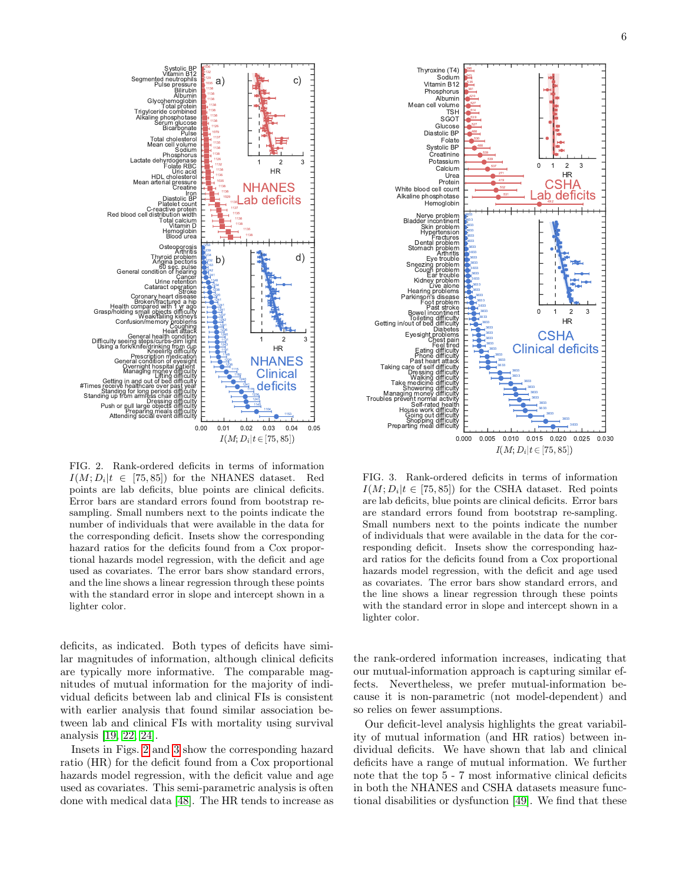

<span id="page-5-0"></span>FIG. 2. Rank-ordered deficits in terms of information  $I(M; D_i|t \in [75, 85])$  for the NHANES dataset. Red points are lab deficits, blue points are clinical deficits. Error bars are standard errors found from bootstrap resampling. Small numbers next to the points indicate the number of individuals that were available in the data for the corresponding deficit. Insets show the corresponding hazard ratios for the deficits found from a Cox proportional hazards model regression, with the deficit and age used as covariates. The error bars show standard errors, and the line shows a linear regression through these points with the standard error in slope and intercept shown in a lighter color.

Blood urea Hemoglobin

Stroke Cataract operation Urine retention **Cancer** 

cer

unt<br>oin

b)

0.00 0.01 0.02 0.03 0.04 0.05

 $I(M; D_i | t \in [75, 85])$ 

NHANES **Clinical** deficits

1 2 3 HR

d)

NHANES Lab deficits

1 2 3 HR

c)

Iron<br>Diastolic BP<br>Platelet count Creatine Mean arterial pressure HDL cholesterol Uric acid anas<br>RRI

Phosphorus Sodium Pulse<br>Total cholesterol<br>Mean cell yolume Bicarbonate Serum glucose Total protein<br>Trigylceride combined<br>Alkaline phosphotase Glycohemoglobi<br>Total protei Albumin Bilirubin

a)

Pulse pressure Segmented neutrophils Systolic BP<br>Vitamin B12

C-reactive protein<br>Red blood cell distribution width<br>Total calcium<br>Vitamin D.

General condition of hearing 60 sec. pulse Angina pectoris Thyroid problem Arthritis Osteoporosis

Attending

Getting

Standing

#Times

Push or pull large objects difficulty<br>Preparing meals difficulty

Standing for long periods difficulty

Using a fork/knife/drinking from cup Difficulty seeing steps/curbs-dim light General health condition Heart attack Coughing

Confusion/ Health compared with 1 yr ago<br>Grasp/holding small objects difficulty Broken/fractured a hip Coronary heart disease

Dressing difficulty

0.0

 $\frac{1}{2}$ 

Lifting difficulty Managing money difficulty Overnight hospital patient General condition of eyesight Prescription medication Kneeling difficulty

Lactate deh

deficits, as indicated. Both types of deficits have similar magnitudes of information, although clinical deficits are typically more informative. The comparable magnitudes of mutual information for the majority of individual deficits between lab and clinical FIs is consistent with earlier analysis that found similar association between lab and clinical FIs with mortality using survival analysis [\[19,](#page-14-17) [22,](#page-14-20) [24\]](#page-14-22).

Insets in Figs. [2](#page-5-0) and [3](#page-5-1) show the corresponding hazard ratio (HR) for the deficit found from a Cox proportional hazards model regression, with the deficit value and age used as covariates. This semi-parametric analysis is often done with medical data [\[48\]](#page-15-17). The HR tends to increase as

<span id="page-5-1"></span>FIG. 3. Rank-ordered deficits in terms of information  $I(M; D_i|t \in [75, 85])$  for the CSHA dataset. Red points are lab deficits, blue points are clinical deficits. Error bars are standard errors found from bootstrap re-sampling. Small numbers next to the points indicate the number of individuals that were available in the data for the corresponding deficit. Insets show the corresponding hazard ratios for the deficits found from a Cox proportional hazards model regression, with the deficit and age used as covariates. The error bars show standard errors, and the line shows a linear regression through these points with the standard error in slope and intercept shown in a lighter color.

the rank-ordered information increases, indicating that our mutual-information approach is capturing similar effects. Nevertheless, we prefer mutual-information because it is non-parametric (not model-dependent) and so relies on fewer assumptions.

Our deficit-level analysis highlights the great variability of mutual information (and HR ratios) between individual deficits. We have shown that lab and clinical deficits have a range of mutual information. We further note that the top 5 - 7 most informative clinical deficits in both the NHANES and CSHA datasets measure functional disabilities or dysfunction [\[49\]](#page-15-18). We find that these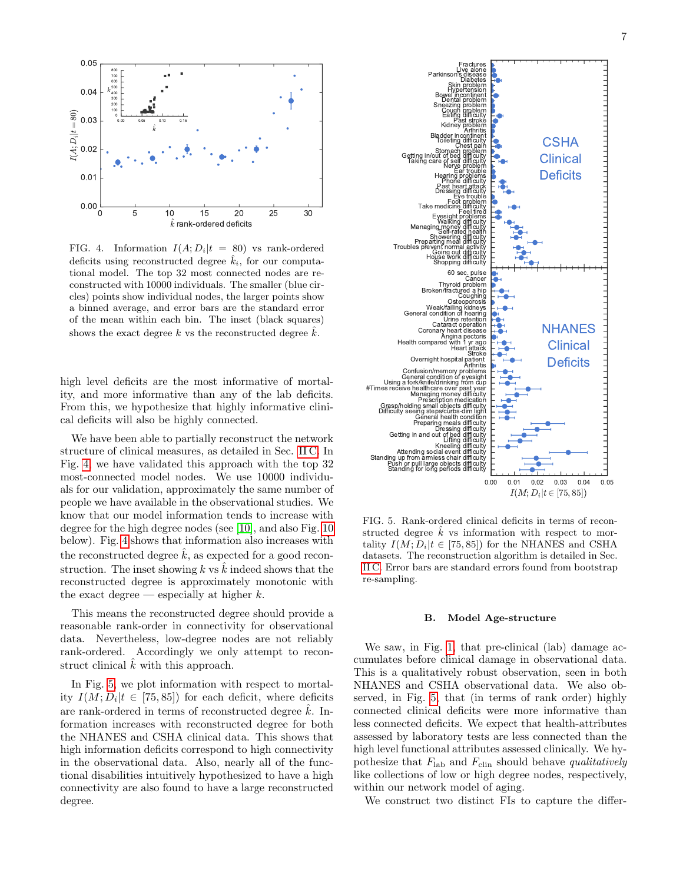

<span id="page-6-0"></span>FIG. 4. Information  $I(A; D_i | t = 80)$  vs rank-ordered deficits using reconstructed degree  $\hat{k}_i$ , for our computational model. The top 32 most connected nodes are reconstructed with 10000 individuals. The smaller (blue circles) points show individual nodes, the larger points show a binned average, and error bars are the standard error of the mean within each bin. The inset (black squares) shows the exact degree k vs the reconstructed degree  $\hat{k}$ .

high level deficits are the most informative of mortality, and more informative than any of the lab deficits. From this, we hypothesize that highly informative clinical deficits will also be highly connected.

We have been able to partially reconstruct the network structure of clinical measures, as detailed in Sec. [II C.](#page-2-0) In Fig. [4,](#page-6-0) we have validated this approach with the top 32 most-connected model nodes. We use 10000 individuals for our validation, approximately the same number of people we have available in the observational studies. We know that our model information tends to increase with degree for the high degree nodes (see [\[10\]](#page-14-9), and also Fig. [10](#page-9-1) below). Fig. [4](#page-6-0) shows that information also increases with the reconstructed degree  $\hat{k}$ , as expected for a good reconstruction. The inset showing k vs  $\hat{k}$  indeed shows that the reconstructed degree is approximately monotonic with the exact degree — especially at higher  $k$ .

This means the reconstructed degree should provide a reasonable rank-order in connectivity for observational data. Nevertheless, low-degree nodes are not reliably rank-ordered. Accordingly we only attempt to reconstruct clinical  $\hat{k}$  with this approach.

In Fig. [5,](#page-6-1) we plot information with respect to mortality  $I(M; D_i | t \in [75, 85])$  for each deficit, where deficits are rank-ordered in terms of reconstructed degree  $\hat{k}$ . Information increases with reconstructed degree for both the NHANES and CSHA clinical data. This shows that high information deficits correspond to high connectivity in the observational data. Also, nearly all of the functional disabilities intuitively hypothesized to have a high connectivity are also found to have a large reconstructed degree.



<span id="page-6-1"></span>FIG. 5. Rank-ordered clinical deficits in terms of reconstructed degree  $\hat{k}$  vs information with respect to mortality  $I(M; D_i|t \in [75, 85])$  for the NHANES and CSHA datasets. The reconstruction algorithm is detailed in Sec. [II C.](#page-2-0) Error bars are standard errors found from bootstrap re-sampling.

### B. Model Age-structure

We saw, in Fig. [1,](#page-4-0) that pre-clinical (lab) damage accumulates before clinical damage in observational data. This is a qualitatively robust observation, seen in both NHANES and CSHA observational data. We also observed, in Fig. [5,](#page-6-1) that (in terms of rank order) highly connected clinical deficits were more informative than less connected deficits. We expect that health-attributes assessed by laboratory tests are less connected than the high level functional attributes assessed clinically. We hypothesize that  $F_{\text{lab}}$  and  $F_{\text{clip}}$  should behave qualitatively like collections of low or high degree nodes, respectively, within our network model of aging.

We construct two distinct FIs to capture the differ-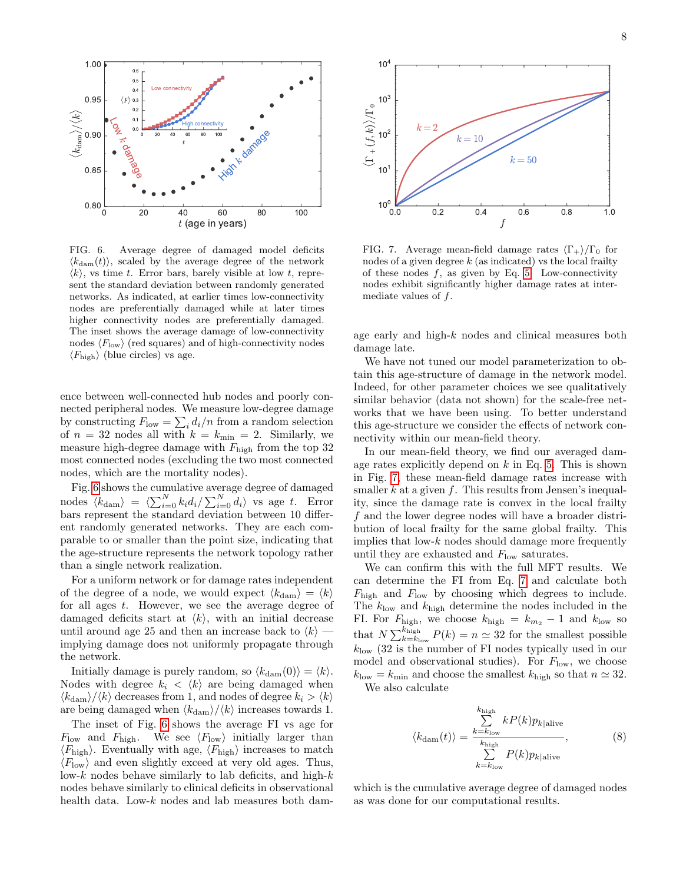

<span id="page-7-0"></span>FIG. 6. Average degree of damaged model deficits  $\langle k_{\text{dam}}(t) \rangle$ , scaled by the average degree of the network  $\langle k \rangle$ , vs time t. Error bars, barely visible at low t, represent the standard deviation between randomly generated networks. As indicated, at earlier times low-connectivity nodes are preferentially damaged while at later times higher connectivity nodes are preferentially damaged. The inset shows the average damage of low-connectivity nodes  $\langle F_{\text{low}} \rangle$  (red squares) and of high-connectivity nodes  $\langle F_{\text{high}} \rangle$  (blue circles) vs age.

ence between well-connected hub nodes and poorly connected peripheral nodes. We measure low-degree damage by constructing  $F_{\text{low}} = \sum_i d_i/n$  from a random selection of  $n = 32$  nodes all with  $k = k_{\text{min}} = 2$ . Similarly, we measure high-degree damage with  $F_{\text{high}}$  from the top 32 most connected nodes (excluding the two most connected nodes, which are the mortality nodes).

Fig. [6](#page-7-0) shows the cumulative average degree of damaged nodes  $\langle k_{\text{dam}} \rangle = \langle \sum_{i=0}^{N} k_i d_i / \sum_{i=0}^{N} d_i \rangle$  vs age t. Error bars represent the standard deviation between 10 different randomly generated networks. They are each comparable to or smaller than the point size, indicating that the age-structure represents the network topology rather than a single network realization.

For a uniform network or for damage rates independent of the degree of a node, we would expect  $\langle k_{\text{dam}} \rangle = \langle k \rangle$ for all ages t. However, we see the average degree of damaged deficits start at  $\langle k \rangle$ , with an initial decrease until around age 25 and then an increase back to  $\langle k \rangle$  implying damage does not uniformly propagate through the network.

Initially damage is purely random, so  $\langle k_{\text{dam}}(0)\rangle = \langle k\rangle$ . Nodes with degree  $k_i \langle k \rangle$  are being damaged when  $\langle k_{\text{dam}}\rangle/\langle k\rangle$  decreases from 1, and nodes of degree  $k_i > \langle k\rangle$ are being damaged when  $\langle k_{\text{dam}}\rangle/\langle k \rangle$  increases towards 1.

The inset of Fig. [6](#page-7-0) shows the average FI vs age for  $F_{\text{low}}$  and  $F_{\text{high}}$ . We see  $\langle F_{\text{low}} \rangle$  initially larger than  $\langle F_{\text{high}} \rangle$ . Eventually with age,  $\langle F_{\text{high}} \rangle$  increases to match  $\langle F_{\text{low}} \rangle$  and even slightly exceed at very old ages. Thus, low- $k$  nodes behave similarly to lab deficits, and high- $k$ nodes behave similarly to clinical deficits in observational health data. Low- $k$  nodes and lab measures both dam-



<span id="page-7-1"></span>FIG. 7. Average mean-field damage rates  $\langle \Gamma_+ \rangle / \Gamma_0$  for nodes of a given degree  $k$  (as indicated) vs the local frailty of these nodes  $f$ , as given by Eq. [5.](#page-3-1) Low-connectivity nodes exhibit significantly higher damage rates at intermediate values of f.

age early and high-k nodes and clinical measures both damage late.

We have not tuned our model parameterization to obtain this age-structure of damage in the network model. Indeed, for other parameter choices we see qualitatively similar behavior (data not shown) for the scale-free networks that we have been using. To better understand this age-structure we consider the effects of network connectivity within our mean-field theory.

In our mean-field theory, we find our averaged damage rates explicitly depend on  $k$  in Eq. [5.](#page-3-1) This is shown in Fig. [7,](#page-7-1) these mean-field damage rates increase with smaller  $k$  at a given  $f$ . This results from Jensen's inequality, since the damage rate is convex in the local frailty f and the lower degree nodes will have a broader distribution of local frailty for the same global frailty. This implies that low- $k$  nodes should damage more frequently until they are exhausted and  $F_{\text{low}}$  saturates.

We can confirm this with the full MFT results. We can determine the FI from Eq. [7](#page-4-1) and calculate both  $F_{\text{high}}$  and  $F_{\text{low}}$  by choosing which degrees to include. The  $k_{\text{low}}$  and  $k_{\text{high}}$  determine the nodes included in the FI. For  $F_{\text{high}}$ , we choose  $k_{\text{high}} = k_{m_2} - 1$  and  $k_{\text{low}}$  so that  $N \sum_{k=k_{\text{low}}}^{k_{\text{high}}} P(k) = n \simeq 32$  for the smallest possible  $k_{\text{low}}$  (32 is the number of FI nodes typically used in our model and observational studies). For  $F_{\text{low}}$ , we choose  $k_{\text{low}} = k_{\text{min}}$  and choose the smallest  $k_{\text{high}}$  so that  $n \simeq 32$ .

We also calculate

$$
\langle k_{\text{dam}}(t) \rangle = \frac{\sum_{k=k_{\text{low}}}^{k_{\text{high}}} k P(k) p_{k|\text{alive}}}{\sum_{k=k_{\text{low}}}^{k_{\text{high}}} P(k) p_{k|\text{alive}}}, \tag{8}
$$

which is the cumulative average degree of damaged nodes as was done for our computational results.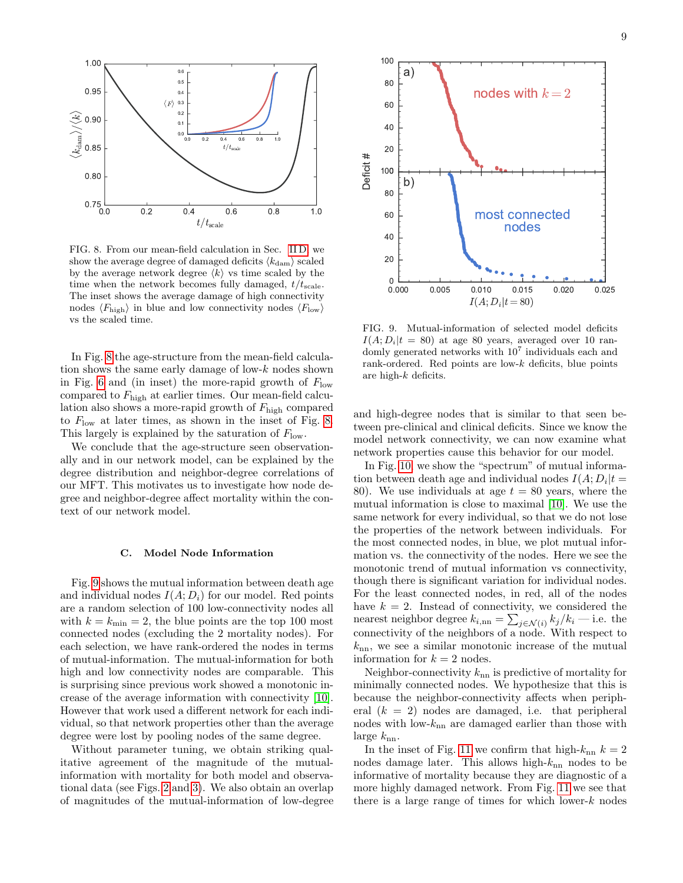

<span id="page-8-0"></span>FIG. 8. From our mean-field calculation in Sec. [II D,](#page-2-1) we show the average degree of damaged deficits  $\langle k_{\text{dam}} \rangle$  scaled by the average network degree  $\langle k \rangle$  vs time scaled by the time when the network becomes fully damaged,  $t/t_{scale}$ . The inset shows the average damage of high connectivity nodes  $\langle F_{\text{high}} \rangle$  in blue and low connectivity nodes  $\langle F_{\text{low}} \rangle$ vs the scaled time.

In Fig. [8](#page-8-0) the age-structure from the mean-field calculation shows the same early damage of low-k nodes shown in Fig. [6](#page-7-0) and (in inset) the more-rapid growth of  $F_{\text{low}}$ compared to  $F_{\text{high}}$  at earlier times. Our mean-field calculation also shows a more-rapid growth of  $F_{\text{high}}$  compared to  $F_{\text{low}}$  at later times, as shown in the inset of Fig. [8.](#page-8-0) This largely is explained by the saturation of  $F_{\text{low}}$ .

We conclude that the age-structure seen observationally and in our network model, can be explained by the degree distribution and neighbor-degree correlations of our MFT. This motivates us to investigate how node degree and neighbor-degree affect mortality within the context of our network model.

### C. Model Node Information

Fig. [9](#page-8-1) shows the mutual information between death age and individual nodes  $I(A; D_i)$  for our model. Red points are a random selection of 100 low-connectivity nodes all with  $k = k_{\text{min}} = 2$ , the blue points are the top 100 most connected nodes (excluding the 2 mortality nodes). For each selection, we have rank-ordered the nodes in terms of mutual-information. The mutual-information for both high and low connectivity nodes are comparable. This is surprising since previous work showed a monotonic increase of the average information with connectivity [\[10\]](#page-14-9). However that work used a different network for each individual, so that network properties other than the average degree were lost by pooling nodes of the same degree.

Without parameter tuning, we obtain striking qualitative agreement of the magnitude of the mutualinformation with mortality for both model and observational data (see Figs. [2](#page-5-0) and [3\)](#page-5-1). We also obtain an overlap of magnitudes of the mutual-information of low-degree



<span id="page-8-1"></span>FIG. 9. Mutual-information of selected model deficits  $I(A; D_i|t = 80)$  at age 80 years, averaged over 10 randomly generated networks with  $10<sup>7</sup>$  individuals each and rank-ordered. Red points are low-k deficits, blue points are high-k deficits.

and high-degree nodes that is similar to that seen between pre-clinical and clinical deficits. Since we know the model network connectivity, we can now examine what network properties cause this behavior for our model.

In Fig. [10,](#page-9-1) we show the "spectrum" of mutual information between death age and individual nodes  $I(A; D_i | t =$ 80). We use individuals at age  $t = 80$  years, where the mutual information is close to maximal [\[10\]](#page-14-9). We use the same network for every individual, so that we do not lose the properties of the network between individuals. For the most connected nodes, in blue, we plot mutual information vs. the connectivity of the nodes. Here we see the monotonic trend of mutual information vs connectivity, though there is significant variation for individual nodes. For the least connected nodes, in red, all of the nodes have  $k = 2$ . Instead of connectivity, we considered the nearest neighbor degree  $k_{i,nn} = \sum_{j \in \mathcal{N}(i)} k_j / k_i$  — i.e. the connectivity of the neighbors of a node. With respect to  $k_{nn}$ , we see a similar monotonic increase of the mutual information for  $k = 2$  nodes.

Neighbor-connectivity  $k_{nn}$  is predictive of mortality for minimally connected nodes. We hypothesize that this is because the neighbor-connectivity affects when peripheral  $(k = 2)$  nodes are damaged, i.e. that peripheral nodes with low- $k_{nn}$  are damaged earlier than those with large  $k_{nn}$ .

In the inset of Fig. [11](#page-9-2) we confirm that high- $k_{nn}$   $k = 2$ nodes damage later. This allows high- $k_{nn}$  nodes to be informative of mortality because they are diagnostic of a more highly damaged network. From Fig. [11](#page-9-2) we see that there is a large range of times for which lower- $k$  nodes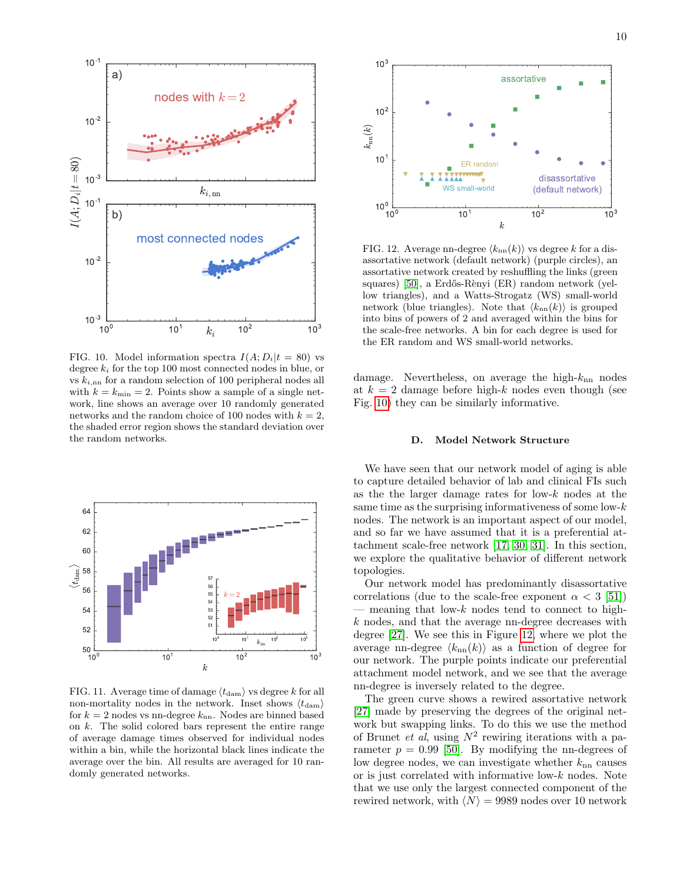

<span id="page-9-1"></span>FIG. 10. Model information spectra  $I(A; D_i|t = 80)$  vs degree  $k_i$  for the top 100 most connected nodes in blue, or vs  $k_{i,nn}$  for a random selection of 100 peripheral nodes all with  $k = k_{\text{min}} = 2$ . Points show a sample of a single network, line shows an average over 10 randomly generated networks and the random choice of 100 nodes with  $k = 2$ , the shaded error region shows the standard deviation over the random networks.



<span id="page-9-2"></span>FIG. 11. Average time of damage  $\langle t_{\rm dam} \rangle$  vs degree k for all non-mortality nodes in the network. Inset shows  $\langle t_{\text{dam}} \rangle$ for  $k = 2$  nodes vs nn-degree  $k_{nn}$ . Nodes are binned based on k. The solid colored bars represent the entire range of average damage times observed for individual nodes within a bin, while the horizontal black lines indicate the average over the bin. All results are averaged for 10 randomly generated networks.



<span id="page-9-3"></span>FIG. 12. Average nn-degree  $\langle k_{nn}(k) \rangle$  vs degree k for a disassortative network (default network) (purple circles), an assortative network created by reshuffling the links (green squares) [\[50\]](#page-15-19), a Erdős-Rènyi (ER) random network (yellow triangles), and a Watts-Strogatz (WS) small-world network (blue triangles). Note that  $\langle k_{nn}(k) \rangle$  is grouped into bins of powers of 2 and averaged within the bins for the scale-free networks. A bin for each degree is used for the ER random and WS small-world networks.

damage. Nevertheless, on average the high- $k_{nn}$  nodes at  $k = 2$  damage before high-k nodes even though (see Fig. [10\)](#page-9-1) they can be similarly informative.

#### <span id="page-9-0"></span>D. Model Network Structure

We have seen that our network model of aging is able to capture detailed behavior of lab and clinical FIs such as the the larger damage rates for low-k nodes at the same time as the surprising informativeness of some low- $k$ nodes. The network is an important aspect of our model, and so far we have assumed that it is a preferential attachment scale-free network [\[17,](#page-14-15) [30,](#page-14-28) [31\]](#page-15-0). In this section, we explore the qualitative behavior of different network topologies.

Our network model has predominantly disassortative correlations (due to the scale-free exponent  $\alpha < 3$  [\[51\]](#page-15-20))  $-$  meaning that low- $k$  nodes tend to connect to highk nodes, and that the average nn-degree decreases with degree [\[27\]](#page-14-25). We see this in Figure [12,](#page-9-3) where we plot the average nn-degree  $\langle k_{nn}(k) \rangle$  as a function of degree for our network. The purple points indicate our preferential attachment model network, and we see that the average nn-degree is inversely related to the degree.

The green curve shows a rewired assortative network [\[27\]](#page-14-25) made by preserving the degrees of the original network but swapping links. To do this we use the method of Brunet *et al*, using  $N^2$  rewiring iterations with a parameter  $p = 0.99$  [\[50\]](#page-15-19). By modifying the nn-degrees of low degree nodes, we can investigate whether  $k_{nn}$  causes or is just correlated with informative low-k nodes. Note that we use only the largest connected component of the rewired network, with  $\langle N \rangle = 9989$  nodes over 10 network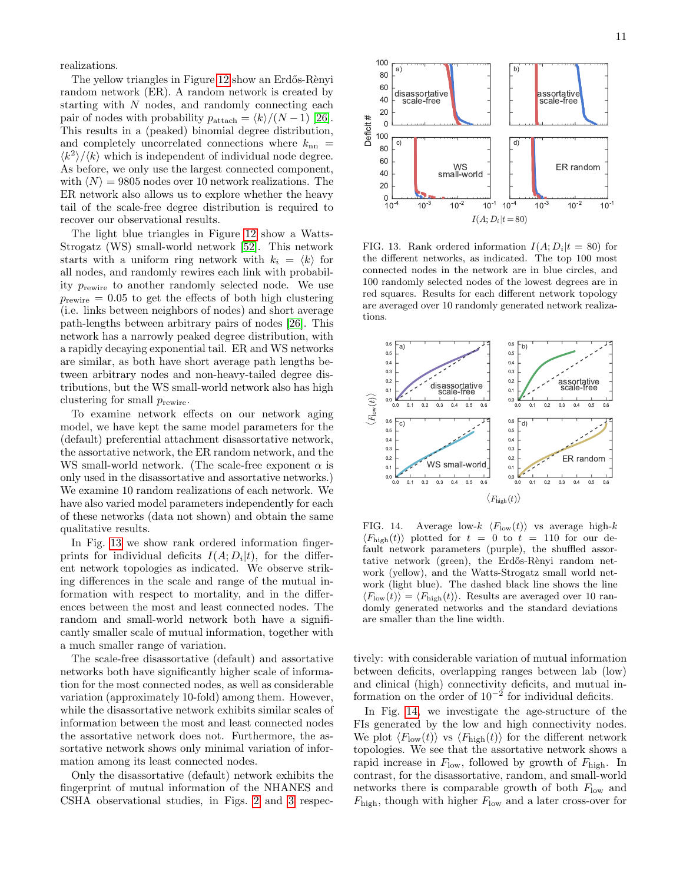realizations.

The yellow triangles in Figure [12](#page-9-3) show an Erdős-Rènyi random network (ER). A random network is created by starting with  $N$  nodes, and randomly connecting each pair of nodes with probability  $p_{\text{attack}} = \frac{k}{(N - 1)} [26].$  $p_{\text{attack}} = \frac{k}{(N - 1)} [26].$  $p_{\text{attack}} = \frac{k}{(N - 1)} [26].$ This results in a (peaked) binomial degree distribution, and completely uncorrelated connections where  $k_{nn}$  =  $\langle k^2 \rangle / \langle k \rangle$  which is independent of individual node degree. As before, we only use the largest connected component, with  $\langle N \rangle = 9805$  nodes over 10 network realizations. The ER network also allows us to explore whether the heavy tail of the scale-free degree distribution is required to recover our observational results.

The light blue triangles in Figure [12](#page-9-3) show a Watts-Strogatz (WS) small-world network [\[52\]](#page-15-21). This network starts with a uniform ring network with  $k_i = \langle k \rangle$  for all nodes, and randomly rewires each link with probability  $p_{\text{rewire}}$  to another randomly selected node. We use  $p_{\text{rewire}} = 0.05$  to get the effects of both high clustering (i.e. links between neighbors of nodes) and short average path-lengths between arbitrary pairs of nodes [\[26\]](#page-14-24). This network has a narrowly peaked degree distribution, with a rapidly decaying exponential tail. ER and WS networks are similar, as both have short average path lengths between arbitrary nodes and non-heavy-tailed degree distributions, but the WS small-world network also has high clustering for small  $p_{\mathrm{rewire}}.$ 

To examine network effects on our network aging model, we have kept the same model parameters for the (default) preferential attachment disassortative network, the assortative network, the ER random network, and the WS small-world network. (The scale-free exponent  $\alpha$  is only used in the disassortative and assortative networks.) We examine 10 random realizations of each network. We have also varied model parameters independently for each of these networks (data not shown) and obtain the same qualitative results.

In Fig. [13](#page-10-0) we show rank ordered information fingerprints for individual deficits  $I(A; D_i | t)$ , for the different network topologies as indicated. We observe striking differences in the scale and range of the mutual information with respect to mortality, and in the differences between the most and least connected nodes. The random and small-world network both have a significantly smaller scale of mutual information, together with a much smaller range of variation.

The scale-free disassortative (default) and assortative networks both have significantly higher scale of information for the most connected nodes, as well as considerable variation (approximately 10-fold) among them. However, while the disassortative network exhibits similar scales of information between the most and least connected nodes the assortative network does not. Furthermore, the assortative network shows only minimal variation of information among its least connected nodes.

Only the disassortative (default) network exhibits the fingerprint of mutual information of the NHANES and CSHA observational studies, in Figs. [2](#page-5-0) and [3](#page-5-1) respec-



<span id="page-10-0"></span>FIG. 13. Rank ordered information  $I(A; D_i|t = 80)$  for the different networks, as indicated. The top 100 most connected nodes in the network are in blue circles, and 100 randomly selected nodes of the lowest degrees are in red squares. Results for each different network topology are averaged over 10 randomly generated network realizations.



<span id="page-10-1"></span>FIG. 14. Average low- $k \langle F_{\text{low}}(t) \rangle$  vs average high- $k$  $\langle F_{\text{high}}(t) \rangle$  plotted for  $t = 0$  to  $t = 110$  for our default network parameters (purple), the shuffled assortative network (green), the Erdős-Rènyi random network (yellow), and the Watts-Strogatz small world network (light blue). The dashed black line shows the line  $\langle F_{\text{low}}(t)\rangle = \langle F_{\text{high}}(t)\rangle$ . Results are averaged over 10 randomly generated networks and the standard deviations are smaller than the line width.

tively: with considerable variation of mutual information between deficits, overlapping ranges between lab (low) and clinical (high) connectivity deficits, and mutual information on the order of  $10^{-2}$  for individual deficits.

In Fig. [14,](#page-10-1) we investigate the age-structure of the FIs generated by the low and high connectivity nodes. We plot  $\langle F_{\text{low}}(t) \rangle$  vs  $\langle F_{\text{high}}(t) \rangle$  for the different network topologies. We see that the assortative network shows a rapid increase in  $F_{\text{low}}$ , followed by growth of  $F_{\text{high}}$ . In contrast, for the disassortative, random, and small-world networks there is comparable growth of both  $F_{\text{low}}$  and  $F_{\text{high}}$ , though with higher  $F_{\text{low}}$  and a later cross-over for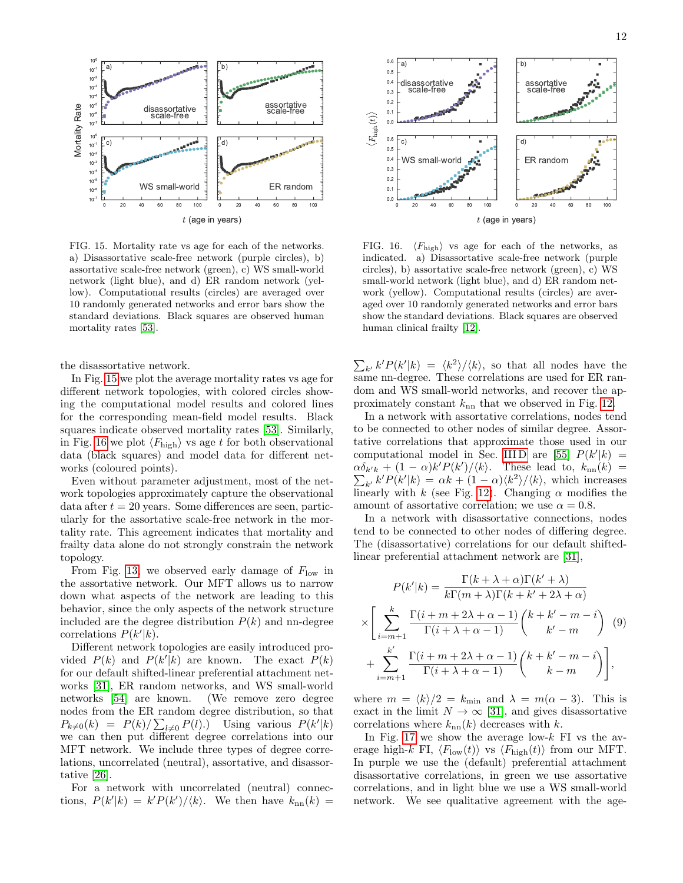

<span id="page-11-0"></span>FIG. 15. Mortality rate vs age for each of the networks. a) Disassortative scale-free network (purple circles), b) assortative scale-free network (green), c) WS small-world network (light blue), and d) ER random network (yellow). Computational results (circles) are averaged over 10 randomly generated networks and error bars show the standard deviations. Black squares are observed human mortality rates [\[53\]](#page-15-22).

the disassortative network.

In Fig. [15](#page-11-0) we plot the average mortality rates vs age for different network topologies, with colored circles showing the computational model results and colored lines for the corresponding mean-field model results. Black squares indicate observed mortality rates [\[53\]](#page-15-22). Similarly, in Fig. [16](#page-11-1) we plot  $\langle F_{\text{high}} \rangle$  vs age t for both observational data (black squares) and model data for different networks (coloured points).

Even without parameter adjustment, most of the network topologies approximately capture the observational  $data$  after  $t = 20$  years. Some differences are seen, particularly for the assortative scale-free network in the mortality rate. This agreement indicates that mortality and frailty data alone do not strongly constrain the network topology.

From Fig. [13,](#page-10-0) we observed early damage of  $F_{\text{low}}$  in the assortative network. Our MFT allows us to narrow down what aspects of the network are leading to this behavior, since the only aspects of the network structure included are the degree distribution  $P(k)$  and nn-degree correlations  $P(k'|k)$ .

Different network topologies are easily introduced provided  $P(k)$  and  $P(k'|k)$  are known. The exact  $P(k)$ for our default shifted-linear preferential attachment networks [\[31\]](#page-15-0), ER random networks, and WS small-world networks [\[54\]](#page-15-23) are known. (We remove zero degree nodes from the ER random degree distribution, so that  $P_{k\neq0}(k) = P(k)/\sum_{l\neq0} P(l).$  Using various  $P(k'|k)$ we can then put different degree correlations into our MFT network. We include three types of degree correlations, uncorrelated (neutral), assortative, and disassortative [\[26\]](#page-14-24).

For a network with uncorrelated (neutral) connections,  $P(k'|k) = k'P(k')/\langle k \rangle$ . We then have  $k_{nn}(k) =$ 



<span id="page-11-1"></span>FIG. 16.  $\langle F_{\text{high}} \rangle$  vs age for each of the networks, as indicated. a) Disassortative scale-free network (purple circles), b) assortative scale-free network (green), c) WS small-world network (light blue), and d) ER random network (yellow). Computational results (circles) are averaged over 10 randomly generated networks and error bars show the standard deviations. Black squares are observed human clinical frailty [\[12\]](#page-14-11).

 $\sum_{k'} k' P(k'|k) = \langle k^2 \rangle / \langle k \rangle$ , so that all nodes have the same nn-degree. These correlations are used for ER random and WS small-world networks, and recover the approximately constant  $k_{nn}$  that we observed in Fig. [12.](#page-9-3)

In a network with assortative correlations, nodes tend to be connected to other nodes of similar degree. Assortative correlations that approximate those used in our computational model in Sec. IIID are [\[55\]](#page-15-24)  $P(k'|k) =$  $\alpha \delta_{k'k} + (1 - \alpha)k'P(k')/\langle k \rangle$ . These lead to,  $k_{nn}(k) =$  $\sum_{k'} k' P(k'|k) = \alpha k + (1 - \alpha) \langle k^2 \rangle / \langle k \rangle$ , which increases linearly with k (see Fig. [12\)](#page-9-3). Changing  $\alpha$  modifies the amount of assortative correlation; we use  $\alpha = 0.8$ .

In a network with disassortative connections, nodes tend to be connected to other nodes of differing degree. The (disassortative) correlations for our default shiftedlinear preferential attachment network are [\[31\]](#page-15-0),

$$
P(k'|k) = \frac{\Gamma(k + \lambda + \alpha)\Gamma(k' + \lambda)}{k\Gamma(m + \lambda)\Gamma(k + k' + 2\lambda + \alpha)}
$$

$$
\times \left[ \sum_{i=m+1}^{k} \frac{\Gamma(i + m + 2\lambda + \alpha - 1)}{\Gamma(i + \lambda + \alpha - 1)} \binom{k + k' - m - i}{k' - m} (9) + \sum_{i=m+1}^{k'} \frac{\Gamma(i + m + 2\lambda + \alpha - 1)}{\Gamma(i + \lambda + \alpha - 1)} \binom{k + k' - m - i}{k - m} \right],
$$

where  $m = \langle k \rangle/2 = k_{\text{min}}$  and  $\lambda = m(\alpha - 3)$ . This is exact in the limit  $N \to \infty$  [\[31\]](#page-15-0), and gives disassortative correlations where  $k_{nn}(k)$  decreases with k.

In Fig. [17](#page-12-0) we show the average low- $k$  FI vs the average high-k FI,  $\langle F_{\text{low}}(t) \rangle$  vs  $\langle F_{\text{high}}(t) \rangle$  from our MFT. In purple we use the (default) preferential attachment disassortative correlations, in green we use assortative correlations, and in light blue we use a WS small-world network. We see qualitative agreement with the age-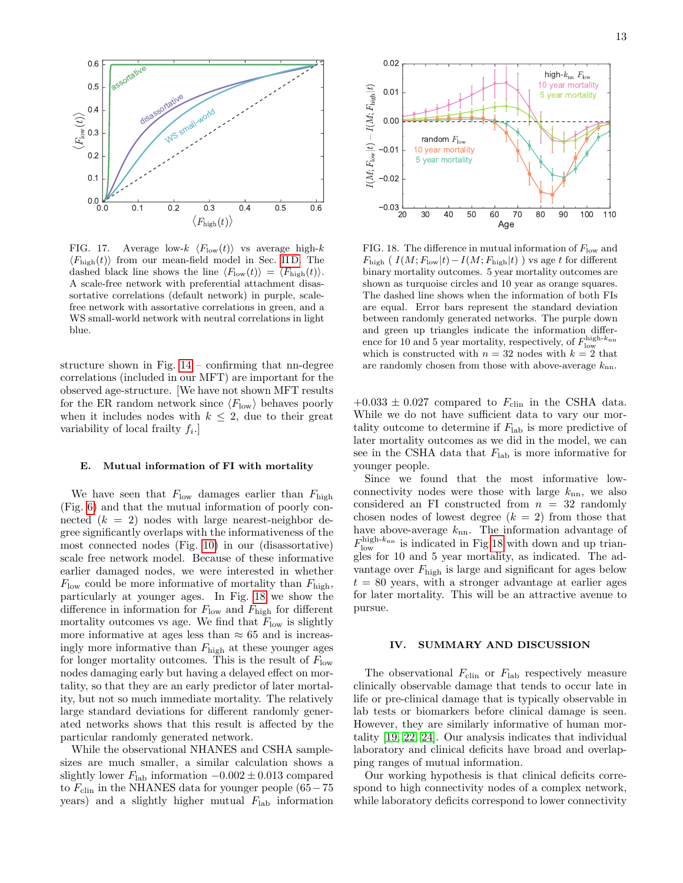

<span id="page-12-0"></span>FIG. 17. Average low- $k \langle F_{\text{low}}(t) \rangle$  vs average high-k  $\langle F_{\text{high}}(t) \rangle$  from our mean-field model in Sec. [II D.](#page-2-1) The dashed black line shows the line  $\langle F_{\text{low}}(t)\rangle = \langle F_{\text{high}}(t)\rangle$ . A scale-free network with preferential attachment disassortative correlations (default network) in purple, scalefree network with assortative correlations in green, and a WS small-world network with neutral correlations in light blue.

structure shown in Fig. [14](#page-10-1) – confirming that nn-degree correlations (included in our MFT) are important for the observed age-structure. [We have not shown MFT results for the ER random network since  $\langle F_{\text{low}} \rangle$  behaves poorly when it includes nodes with  $k \leq 2$ , due to their great variability of local frailty  $f_i$ .

# E. Mutual information of FI with mortality

We have seen that  $F_{\text{low}}$  damages earlier than  $F_{\text{high}}$ (Fig. [6\)](#page-7-0) and that the mutual information of poorly connected  $(k = 2)$  nodes with large nearest-neighbor degree significantly overlaps with the informativeness of the most connected nodes (Fig. [10\)](#page-9-1) in our (disassortative) scale free network model. Because of these informative earlier damaged nodes, we were interested in whether  $F_{\text{low}}$  could be more informative of mortality than  $F_{\text{high}}$ , particularly at younger ages. In Fig. [18](#page-12-1) we show the difference in information for  $F_{\text{low}}$  and  $F_{\text{high}}$  for different mortality outcomes vs age. We find that  $F_{\text{low}}$  is slightly more informative at ages less than  $\approx 65$  and is increasingly more informative than  $F_{\text{high}}$  at these younger ages for longer mortality outcomes. This is the result of  $F_{\text{low}}$ nodes damaging early but having a delayed effect on mortality, so that they are an early predictor of later mortality, but not so much immediate mortality. The relatively large standard deviations for different randomly generated networks shows that this result is affected by the particular randomly generated network.

While the observational NHANES and CSHA samplesizes are much smaller, a similar calculation shows a slightly lower  $F_{\text{lab}}$  information  $-0.002 \pm 0.013$  compared to  $F_{\text{clip}}$  in the NHANES data for younger people (65−75 years) and a slightly higher mutual  $F_{\text{lab}}$  information



<span id="page-12-1"></span>FIG. 18. The difference in mutual information of  $F_{\rm low}$  and  $F_{\text{high}}$  (  $I(M; F_{\text{low}}|t) - I(M; F_{\text{high}}|t)$  ) vs age t for different binary mortality outcomes. 5 year mortality outcomes are shown as turquoise circles and 10 year as orange squares. The dashed line shows when the information of both FIs are equal. Error bars represent the standard deviation between randomly generated networks. The purple down and green up triangles indicate the information difference for 10 and 5 year mortality, respectively, of  $F_{\text{low}}^{\text{high-}k_{\text{nn}}}$ which is constructed with  $n = 32$  nodes with  $k = 2$  that are randomly chosen from those with above-average  $k_{nn}$ .

 $+0.033 \pm 0.027$  compared to  $F_{\text{clip}}$  in the CSHA data. While we do not have sufficient data to vary our mortality outcome to determine if  $F_{\text{lab}}$  is more predictive of later mortality outcomes as we did in the model, we can see in the CSHA data that  $F_{\text{lab}}$  is more informative for younger people.

Since we found that the most informative lowconnectivity nodes were those with large  $k_{nn}$ , we also considered an FI constructed from  $n = 32$  randomly chosen nodes of lowest degree  $(k = 2)$  from those that have above-average  $k_{nn}$ . The information advantage of  $F_{\text{low}}^{\text{high-}k_{\text{nn}}}$  is indicated in Fig[.18](#page-12-1) with down and up triangles for 10 and 5 year mortality, as indicated. The advantage over  $F_{\text{high}}$  is large and significant for ages below  $t = 80$  years, with a stronger advantage at earlier ages for later mortality. This will be an attractive avenue to pursue.

### IV. SUMMARY AND DISCUSSION

The observational  $F_{\text{clip}}$  or  $F_{\text{lab}}$  respectively measure clinically observable damage that tends to occur late in life or pre-clinical damage that is typically observable in lab tests or biomarkers before clinical damage is seen. However, they are similarly informative of human mortality [\[19,](#page-14-17) [22,](#page-14-20) [24\]](#page-14-22). Our analysis indicates that individual laboratory and clinical deficits have broad and overlapping ranges of mutual information.

Our working hypothesis is that clinical deficits correspond to high connectivity nodes of a complex network, while laboratory deficits correspond to lower connectivity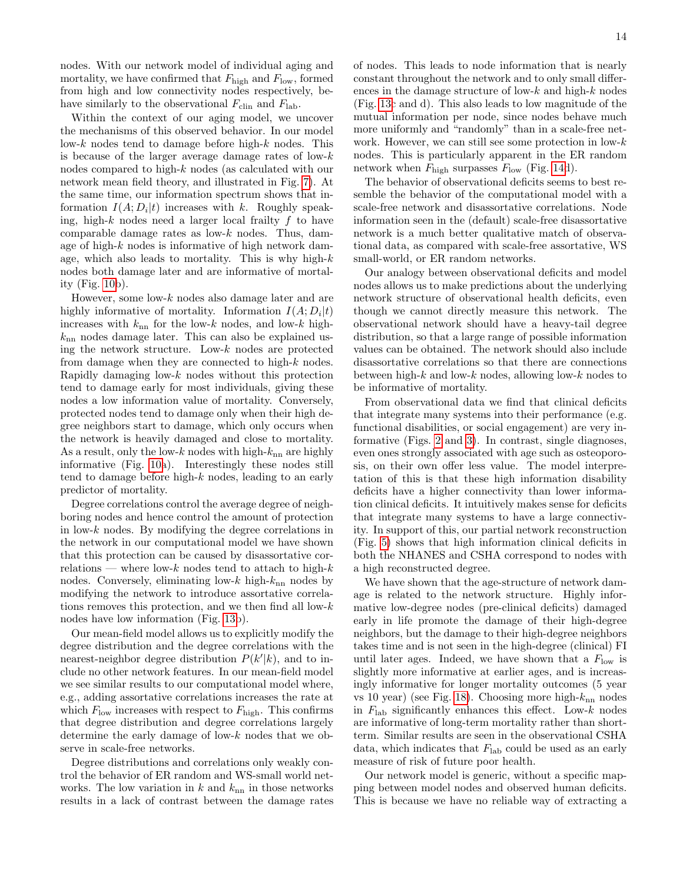nodes. With our network model of individual aging and mortality, we have confirmed that  $F_{\text{high}}$  and  $F_{\text{low}}$ , formed from high and low connectivity nodes respectively, behave similarly to the observational  $F_{\text{clip}}$  and  $F_{\text{lab}}$ .

Within the context of our aging model, we uncover the mechanisms of this observed behavior. In our model low-k nodes tend to damage before high-k nodes. This is because of the larger average damage rates of low-k nodes compared to high-k nodes (as calculated with our network mean field theory, and illustrated in Fig. [7\)](#page-7-1). At the same time, our information spectrum shows that information  $I(A; D_i | t)$  increases with k. Roughly speaking, high- $k$  nodes need a larger local frailty  $f$  to have comparable damage rates as low- $k$  nodes. Thus, damage of high- $k$  nodes is informative of high network damage, which also leads to mortality. This is why high- $k$ nodes both damage later and are informative of mortality (Fig. [10b](#page-9-1)).

However, some low- $k$  nodes also damage later and are highly informative of mortality. Information  $I(A; D_i | t)$ increases with  $k_{nn}$  for the low-k nodes, and low-k high $k_{nn}$  nodes damage later. This can also be explained using the network structure. Low-k nodes are protected from damage when they are connected to high-k nodes. Rapidly damaging low- $k$  nodes without this protection tend to damage early for most individuals, giving these nodes a low information value of mortality. Conversely, protected nodes tend to damage only when their high degree neighbors start to damage, which only occurs when the network is heavily damaged and close to mortality. As a result, only the low- $k$  nodes with high- $k_{nn}$  are highly informative (Fig. [10a](#page-9-1)). Interestingly these nodes still tend to damage before high-k nodes, leading to an early predictor of mortality.

Degree correlations control the average degree of neighboring nodes and hence control the amount of protection in low- $k$  nodes. By modifying the degree correlations in the network in our computational model we have shown that this protection can be caused by disassortative correlations — where low-k nodes tend to attach to high-k nodes. Conversely, eliminating low- $k$  high- $k_{nn}$  nodes by modifying the network to introduce assortative correlations removes this protection, and we then find all low- $k$ nodes have low information (Fig. [13b](#page-10-0)).

Our mean-field model allows us to explicitly modify the degree distribution and the degree correlations with the nearest-neighbor degree distribution  $P(k'|k)$ , and to include no other network features. In our mean-field model we see similar results to our computational model where, e.g., adding assortative correlations increases the rate at which  $F_{\text{low}}$  increases with respect to  $F_{\text{high}}$ . This confirms that degree distribution and degree correlations largely determine the early damage of low-k nodes that we observe in scale-free networks.

Degree distributions and correlations only weakly control the behavior of ER random and WS-small world networks. The low variation in k and  $k_{nn}$  in those networks results in a lack of contrast between the damage rates of nodes. This leads to node information that is nearly constant throughout the network and to only small differences in the damage structure of low- $k$  and high- $k$  nodes (Fig. [13c](#page-10-0) and d). This also leads to low magnitude of the mutual information per node, since nodes behave much more uniformly and "randomly" than in a scale-free network. However, we can still see some protection in low- $k$ nodes. This is particularly apparent in the ER random network when  $F_{\text{high}}$  surpasses  $F_{\text{low}}$  (Fig. [14d](#page-10-1)).

The behavior of observational deficits seems to best resemble the behavior of the computational model with a scale-free network and disassortative correlations. Node information seen in the (default) scale-free disassortative network is a much better qualitative match of observational data, as compared with scale-free assortative, WS small-world, or ER random networks.

Our analogy between observational deficits and model nodes allows us to make predictions about the underlying network structure of observational health deficits, even though we cannot directly measure this network. The observational network should have a heavy-tail degree distribution, so that a large range of possible information values can be obtained. The network should also include disassortative correlations so that there are connections between high-k and low-k nodes, allowing low-k nodes to be informative of mortality.

From observational data we find that clinical deficits that integrate many systems into their performance (e.g. functional disabilities, or social engagement) are very informative (Figs. [2](#page-5-0) and [3\)](#page-5-1). In contrast, single diagnoses, even ones strongly associated with age such as osteoporosis, on their own offer less value. The model interpretation of this is that these high information disability deficits have a higher connectivity than lower information clinical deficits. It intuitively makes sense for deficits that integrate many systems to have a large connectivity. In support of this, our partial network reconstruction (Fig. [5\)](#page-6-1) shows that high information clinical deficits in both the NHANES and CSHA correspond to nodes with a high reconstructed degree.

We have shown that the age-structure of network damage is related to the network structure. Highly informative low-degree nodes (pre-clinical deficits) damaged early in life promote the damage of their high-degree neighbors, but the damage to their high-degree neighbors takes time and is not seen in the high-degree (clinical) FI until later ages. Indeed, we have shown that a  $F_{\text{low}}$  is slightly more informative at earlier ages, and is increasingly informative for longer mortality outcomes (5 year vs 10 year) (see Fig. [18\)](#page-12-1). Choosing more high- $k_{nn}$  nodes in  $F_{\text{lab}}$  significantly enhances this effect. Low- $k$  nodes are informative of long-term mortality rather than shortterm. Similar results are seen in the observational CSHA data, which indicates that  $F_{\text{lab}}$  could be used as an early measure of risk of future poor health.

Our network model is generic, without a specific mapping between model nodes and observed human deficits. This is because we have no reliable way of extracting a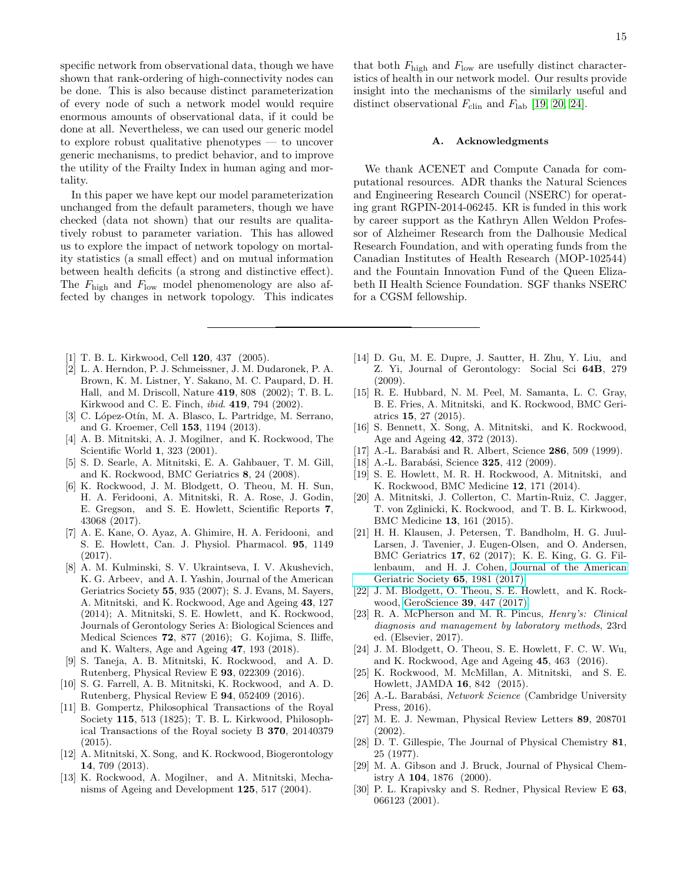specific network from observational data, though we have shown that rank-ordering of high-connectivity nodes can be done. This is also because distinct parameterization of every node of such a network model would require enormous amounts of observational data, if it could be done at all. Nevertheless, we can used our generic model to explore robust qualitative phenotypes — to uncover generic mechanisms, to predict behavior, and to improve the utility of the Frailty Index in human aging and mortality.

In this paper we have kept our model parameterization unchanged from the default parameters, though we have checked (data not shown) that our results are qualitatively robust to parameter variation. This has allowed us to explore the impact of network topology on mortality statistics (a small effect) and on mutual information between health deficits (a strong and distinctive effect). The  $F_{\text{high}}$  and  $F_{\text{low}}$  model phenomenology are also affected by changes in network topology. This indicates

- <span id="page-14-0"></span>[1] T. B. L. Kirkwood, Cell 120, 437 (2005).
- <span id="page-14-1"></span>[2] L. A. Herndon, P. J. Schmeissner, J. M. Dudaronek, P. A. Brown, K. M. Listner, Y. Sakano, M. C. Paupard, D. H. Hall, and M. Driscoll, Nature 419, 808 (2002); T. B. L. Kirkwood and C. E. Finch, ibid. 419, 794 (2002).
- <span id="page-14-2"></span>[3] C. López-Otín, M. A. Blasco, L. Partridge, M. Serrano, and G. Kroemer, Cell 153, 1194 (2013).
- <span id="page-14-3"></span>[4] A. B. Mitnitski, A. J. Mogilner, and K. Rockwood, The Scientific World 1, 323 (2001).
- <span id="page-14-4"></span>[5] S. D. Searle, A. Mitnitski, E. A. Gahbauer, T. M. Gill, and K. Rockwood, BMC Geriatrics 8, 24 (2008).
- <span id="page-14-5"></span>[6] K. Rockwood, J. M. Blodgett, O. Theou, M. H. Sun, H. A. Feridooni, A. Mitnitski, R. A. Rose, J. Godin, E. Gregson, and S. E. Howlett, Scientific Reports 7, 43068 (2017).
- <span id="page-14-6"></span>[7] A. E. Kane, O. Ayaz, A. Ghimire, H. A. Feridooni, and S. E. Howlett, Can. J. Physiol. Pharmacol. 95, 1149 (2017).
- <span id="page-14-7"></span>[8] A. M. Kulminski, S. V. Ukraintseva, I. V. Akushevich, K. G. Arbeev, and A. I. Yashin, Journal of the American Geriatrics Society 55, 935 (2007); S. J. Evans, M. Sayers, A. Mitnitski, and K. Rockwood, Age and Ageing 43, 127 (2014); A. Mitnitski, S. E. Howlett, and K. Rockwood, Journals of Gerontology Series A: Biological Sciences and Medical Sciences 72, 877 (2016); G. Kojima, S. Iliffe, and K. Walters, Age and Ageing 47, 193 (2018).
- <span id="page-14-8"></span>[9] S. Taneja, A. B. Mitnitski, K. Rockwood, and A. D. Rutenberg, Physical Review E 93, 022309 (2016).
- <span id="page-14-9"></span>[10] S. G. Farrell, A. B. Mitnitski, K. Rockwood, and A. D. Rutenberg, Physical Review E 94, 052409 (2016).
- <span id="page-14-10"></span>[11] B. Gompertz, Philosophical Transactions of the Royal Society 115, 513 (1825); T. B. L. Kirkwood, Philosophical Transactions of the Royal society B 370, 20140379 (2015).
- <span id="page-14-11"></span>[12] A. Mitnitski, X. Song, and K. Rockwood, Biogerontology 14, 709 (2013).
- <span id="page-14-12"></span>[13] K. Rockwood, A. Mogilner, and A. Mitnitski, Mechanisms of Ageing and Development 125, 517 (2004).

that both  $F_{\text{high}}$  and  $F_{\text{low}}$  are usefully distinct characteristics of health in our network model. Our results provide insight into the mechanisms of the similarly useful and distinct observational  $F_{\text{clip}}$  and  $F_{\text{lab}}$  [\[19,](#page-14-17) [20,](#page-14-18) [24\]](#page-14-22).

# A. Acknowledgments

We thank ACENET and Compute Canada for computational resources. ADR thanks the Natural Sciences and Engineering Research Council (NSERC) for operating grant RGPIN-2014-06245. KR is funded in this work by career support as the Kathryn Allen Weldon Professor of Alzheimer Research from the Dalhousie Medical Research Foundation, and with operating funds from the Canadian Institutes of Health Research (MOP-102544) and the Fountain Innovation Fund of the Queen Elizabeth II Health Science Foundation. SGF thanks NSERC for a CGSM fellowship.

- <span id="page-14-13"></span>[14] D. Gu, M. E. Dupre, J. Sautter, H. Zhu, Y. Liu, and Z. Yi, Journal of Gerontology: Social Sci 64B, 279 (2009).
- [15] R. E. Hubbard, N. M. Peel, M. Samanta, L. C. Gray, B. E. Fries, A. Mitnitski, and K. Rockwood, BMC Geriatrics 15, 27 (2015).
- <span id="page-14-14"></span>[16] S. Bennett, X. Song, A. Mitnitski, and K. Rockwood, Age and Ageing 42, 372 (2013).
- <span id="page-14-15"></span>[17] A.-L. Barabási and R. Albert, Science 286, 509 (1999).
- <span id="page-14-16"></span>[18] A.-L. Barabási, Science **325**, 412 (2009).
- <span id="page-14-17"></span>[19] S. E. Howlett, M. R. H. Rockwood, A. Mitnitski, and K. Rockwood, BMC Medicine 12, 171 (2014).
- <span id="page-14-18"></span>[20] A. Mitnitski, J. Collerton, C. Martin-Ruiz, C. Jagger, T. von Zglinicki, K. Rockwood, and T. B. L. Kirkwood, BMC Medicine 13, 161 (2015).
- <span id="page-14-19"></span>[21] H. H. Klausen, J. Petersen, T. Bandholm, H. G. Juul-Larsen, J. Tavenier, J. Eugen-Olsen, and O. Andersen, BMC Geriatrics 17, 62 (2017); K. E. King, G. G. Fillenbaum, and H. J. Cohen, [Journal of the American](http://dx.doi.org/10.1111/jgs.14983) [Geriatric Society](http://dx.doi.org/10.1111/jgs.14983) 65, 1981 (2017).
- <span id="page-14-20"></span>[22] J. M. Blodgett, O. Theou, S. E. Howlett, and K. Rockwood, [GeroScience](http://dx.doi.org/10.1007/s11357-017-9993-7) 39, 447 (2017).
- <span id="page-14-21"></span>[23] R. A. McPherson and M. R. Pincus, Henry's: Clinical diagnosis and management by laboratory methods, 23rd ed. (Elsevier, 2017).
- <span id="page-14-22"></span>[24] J. M. Blodgett, O. Theou, S. E. Howlett, F. C. W. Wu, and K. Rockwood, Age and Ageing 45, 463 (2016).
- <span id="page-14-23"></span>[25] K. Rockwood, M. McMillan, A. Mitnitski, and S. E. Howlett, JAMDA 16, 842 (2015).
- <span id="page-14-24"></span>[26] A.-L. Barabási, Network Science (Cambridge University Press, 2016).
- <span id="page-14-25"></span>[27] M. E. J. Newman, Physical Review Letters 89, 208701 (2002).
- <span id="page-14-26"></span>[28] D. T. Gillespie, The Journal of Physical Chemistry 81, 25 (1977).
- <span id="page-14-27"></span>[29] M. A. Gibson and J. Bruck, Journal of Physical Chemistry A 104, 1876 (2000).
- <span id="page-14-28"></span>[30] P. L. Krapivsky and S. Redner, Physical Review E 63, 066123 (2001).